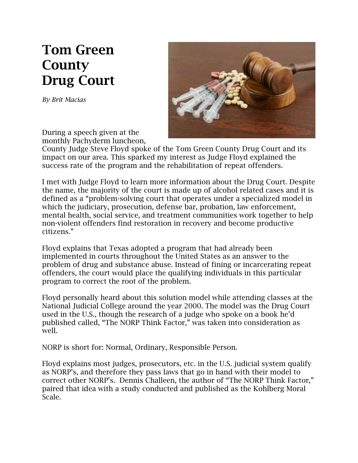## **Tom Green County Drug Court**

*By Brit Macias*



During a speech given at the monthly Pachyderm luncheon,

County Judge Steve Floyd spoke of the Tom Green County Drug Court and its impact on our area. This sparked my interest as Judge Floyd explained the success rate of the program and the rehabilitation of repeat offenders.

I met with Judge Floyd to learn more information about the Drug Court. Despite the name, the majority of the court is made up of alcohol related cases and it is defined as a "problem-solving court that operates under a specialized model in which the judiciary, prosecution, defense bar, probation, law enforcement, mental health, social service, and treatment communities work together to help non-violent offenders find restoration in recovery and become productive citizens."

Floyd explains that Texas adopted a program that had already been implemented in courts throughout the United States as an answer to the problem of drug and substance abuse. Instead of fining or incarcerating repeat offenders, the court would place the qualifying individuals in this particular program to correct the root of the problem.

Floyd personally heard about this solution model while attending classes at the National Judicial College around the year 2000. The model was the Drug Court used in the U.S., though the research of a judge who spoke on a book he'd published called, "The NORP Think Factor," was taken into consideration as well.

NORP is short for: Normal, Ordinary, Responsible Person.

Floyd explains most judges, prosecutors, etc. in the U.S. judicial system qualify as NORP's, and therefore they pass laws that go in hand with their model to correct other NORP's. Dennis Challeen, the author of "The NORP Think Factor," paired that idea with a study conducted and published as the Kohlberg Moral Scale.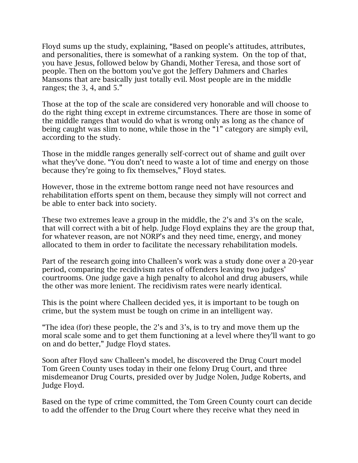Floyd sums up the study, explaining, "Based on people's attitudes, attributes, and personalities, there is somewhat of a ranking system. On the top of that, you have Jesus, followed below by Ghandi, Mother Teresa, and those sort of people. Then on the bottom you've got the Jeffery Dahmers and Charles Mansons that are basically just totally evil. Most people are in the middle ranges; the 3, 4, and 5."

Those at the top of the scale are considered very honorable and will choose to do the right thing except in extreme circumstances. There are those in some of the middle ranges that would do what is wrong only as long as the chance of being caught was slim to none, while those in the "1" category are simply evil, according to the study.

Those in the middle ranges generally self-correct out of shame and guilt over what they've done. "You don't need to waste a lot of time and energy on those because they're going to fix themselves," Floyd states.

However, those in the extreme bottom range need not have resources and rehabilitation efforts spent on them, because they simply will not correct and be able to enter back into society.

These two extremes leave a group in the middle, the 2's and 3's on the scale, that will correct with a bit of help. Judge Floyd explains they are the group that, for whatever reason, are not NORP's and they need time, energy, and money allocated to them in order to facilitate the necessary rehabilitation models.

Part of the research going into Challeen's work was a study done over a 20-year period, comparing the recidivism rates of offenders leaving two judges' courtrooms. One judge gave a high penalty to alcohol and drug abusers, while the other was more lenient. The recidivism rates were nearly identical.

This is the point where Challeen decided yes, it is important to be tough on crime, but the system must be tough on crime in an intelligent way.

"The idea (for) these people, the 2's and 3's, is to try and move them up the moral scale some and to get them functioning at a level where they'll want to go on and do better," Judge Floyd states.

Soon after Floyd saw Challeen's model, he discovered the Drug Court model Tom Green County uses today in their one felony Drug Court, and three misdemeanor Drug Courts, presided over by Judge Nolen, Judge Roberts, and Judge Floyd.

Based on the type of crime committed, the Tom Green County court can decide to add the offender to the Drug Court where they receive what they need in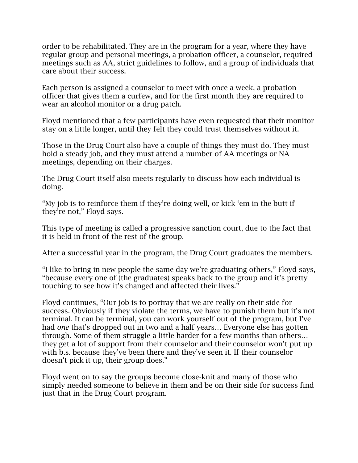order to be rehabilitated. They are in the program for a year, where they have regular group and personal meetings, a probation officer, a counselor, required meetings such as AA, strict guidelines to follow, and a group of individuals that care about their success.

Each person is assigned a counselor to meet with once a week, a probation officer that gives them a curfew, and for the first month they are required to wear an alcohol monitor or a drug patch.

Floyd mentioned that a few participants have even requested that their monitor stay on a little longer, until they felt they could trust themselves without it.

Those in the Drug Court also have a couple of things they must do. They must hold a steady job, and they must attend a number of AA meetings or NA meetings, depending on their charges.

The Drug Court itself also meets regularly to discuss how each individual is doing.

"My job is to reinforce them if they're doing well, or kick 'em in the butt if they're not," Floyd says.

This type of meeting is called a progressive sanction court, due to the fact that it is held in front of the rest of the group.

After a successful year in the program, the Drug Court graduates the members.

"I like to bring in new people the same day we're graduating others," Floyd says, "because every one of (the graduates) speaks back to the group and it's pretty touching to see how it's changed and affected their lives."

Floyd continues, "Our job is to portray that we are really on their side for success. Obviously if they violate the terms, we have to punish them but it's not terminal. It can be terminal, you can work yourself out of the program, but I've had *one* that's dropped out in two and a half years… Everyone else has gotten through. Some of them struggle a little harder for a few months than others… they get a lot of support from their counselor and their counselor won't put up with b.s. because they've been there and they've seen it. If their counselor doesn't pick it up, their group does."

Floyd went on to say the groups become close-knit and many of those who simply needed someone to believe in them and be on their side for success find just that in the Drug Court program.